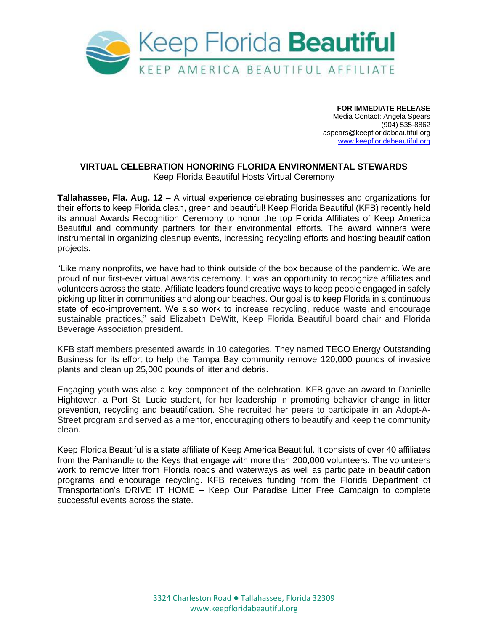

**FOR IMMEDIATE RELEASE** Media Contact: Angela Spears (904) 535-8862 aspears@keepfloridabeautiful.org [www.keepfloridabeautiful.org](http://www.keepfloridabeautiful.org/)

## **VIRTUAL CELEBRATION HONORING FLORIDA ENVIRONMENTAL STEWARDS**  Keep Florida Beautiful Hosts Virtual Ceremony

**Tallahassee, Fla. Aug. 12** – A virtual experience celebrating businesses and organizations for their efforts to keep Florida clean, green and beautiful! Keep Florida Beautiful (KFB) recently held its annual Awards Recognition Ceremony to honor the top Florida Affiliates of Keep America Beautiful and community partners for their environmental efforts. The award winners were instrumental in organizing cleanup events, increasing recycling efforts and hosting beautification projects.

"Like many nonprofits, we have had to think outside of the box because of the pandemic. We are proud of our first-ever virtual awards ceremony. It was an opportunity to recognize affiliates and volunteers across the state. Affiliate leaders found creative ways to keep people engaged in safely picking up litter in communities and along our beaches. Our goal is to keep Florida in a continuous state of eco-improvement. We also work to increase recycling, reduce waste and encourage sustainable practices," said Elizabeth DeWitt, Keep Florida Beautiful board chair and Florida Beverage Association president.

KFB staff members presented awards in 10 categories. They named TECO Energy Outstanding Business for its effort to help the Tampa Bay community remove 120,000 pounds of invasive plants and clean up 25,000 pounds of litter and debris.

Engaging youth was also a key component of the celebration. KFB gave an award to Danielle Hightower, a Port St. Lucie student, for her leadership in promoting behavior change in litter prevention, recycling and beautification. She recruited her peers to participate in an Adopt-A-Street program and served as a mentor, encouraging others to beautify and keep the community clean.

Keep Florida Beautiful is a state affiliate of Keep America Beautiful. It consists of over 40 affiliates from the Panhandle to the Keys that engage with more than 200,000 volunteers. The volunteers work to remove litter from Florida roads and waterways as well as participate in beautification programs and encourage recycling. KFB receives funding from the Florida Department of Transportation's DRIVE IT HOME – Keep Our Paradise Litter Free Campaign to complete successful events across the state.